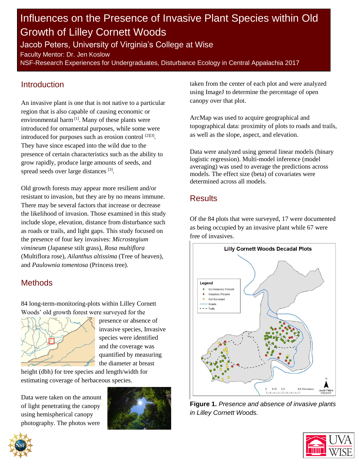# Influences on the Presence of Invasive Plant Species within Old Growth of Lilley Cornett Woods

Jacob Peters, University of Virginia's College at Wise

Faculty Mentor: Dr. Jen Koslow

NSF-Research Experiences for Undergraduates, Disturbance Ecology in Central Appalachia 2017

### Introduction

An invasive plant is one that is not native to a particular region that is also capable of causing economic or environmental harm<sup>[1]</sup>. Many of these plants were introduced for ornamental purposes, while some were introduced for purposes such as erosion control <sup>[2][3]</sup>. They have since escaped into the wild due to the presence of certain characteristics such as the ability to grow rapidly, produce large amounts of seeds, and spread seeds over large distances [3].

Old growth forests may appear more resilient and/or resistant to invasion, but they are by no means immune. There may be several factors that increase or decrease the likelihood of invasion. Those examined in this study include slope, elevation, distance from disturbance such as roads or trails, and light gaps. This study focused on the presence of four key invasives: *Microstegium vimineum* (Japanese stilt grass), *Rosa multiflora*  (Multiflora rose), *Ailanthus altissima* (Tree of heaven), and *Paulownia tomentosa* (Princess tree).

## **Methods**

84 long-term-monitoring-plots within Lilley Cornett Woods' old growth forest were surveyed for the



presence or absence of invasive species, Invasive species were identified and the coverage was quantified by measuring the diameter at breast

height (dbh) for tree species and length/width for estimating coverage of herbaceous species.

Data were taken on the amount of light penetrating the canopy using hemispherical canopy photography. The photos were



taken from the center of each plot and were analyzed using ImageJ to determine the percentage of open canopy over that plot.

ArcMap was used to acquire geographical and topographical data: proximity of plots to roads and trails, as well as the slope, aspect, and elevation.

Data were analyzed using general linear models (binary logistic regression). Multi-model inference (model averaging) was used to average the predictions across models. The effect size (beta) of covariates were determined across all models.

### **Results**

Of the 84 plots that were surveyed, 17 were documented as being occupied by an invasive plant while 67 were free of invasives.



**Figure 1.** *Presence and absence of invasive plants in Lilley Cornett Woods.*